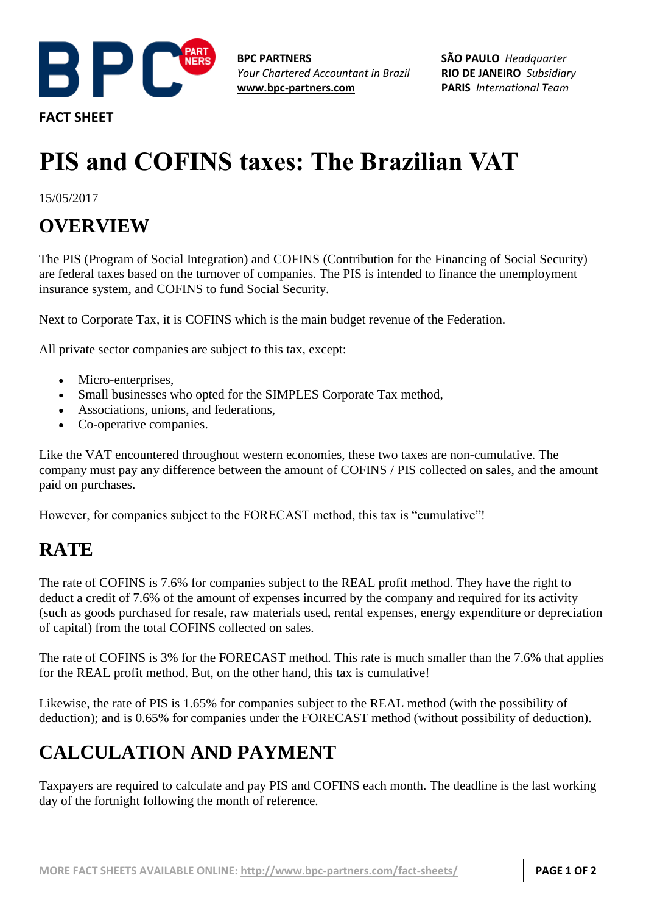

**FACT SHEET**

**BPC PARTNERS** *Your Chartered Accountant in Brazil* **[www.bpc-partners.com](http://www.bpc-partners.com/)**

**SÃO PAULO** *Headquarter* **RIO DE JANEIRO** *Subsidiary* **PARIS** *International Team*

# **PIS and COFINS taxes: The Brazilian VAT**

15/05/2017

## **OVERVIEW**

The PIS (Program of Social Integration) and COFINS (Contribution for the Financing of Social Security) are federal taxes based on the turnover of companies. The PIS is intended to finance the unemployment insurance system, and COFINS to fund Social Security.

Next to Corporate Tax, it is COFINS which is the main budget revenue of the Federation.

All private sector companies are subject to this tax, except:

- Micro-enterprises,
- Small businesses who opted for the SIMPLES Corporate Tax method,
- Associations, unions, and federations,
- Co-operative companies.

Like the VAT encountered throughout western economies, these two taxes are non-cumulative. The company must pay any difference between the amount of COFINS / PIS collected on sales, and the amount paid on purchases.

However, for companies subject to the FORECAST method, this tax is "cumulative"!

### **RATE**

The rate of COFINS is 7.6% for companies subject to the REAL profit method. They have the right to deduct a credit of 7.6% of the amount of expenses incurred by the company and required for its activity (such as goods purchased for resale, raw materials used, rental expenses, energy expenditure or depreciation of capital) from the total COFINS collected on sales.

The rate of COFINS is 3% for the FORECAST method. This rate is much smaller than the 7.6% that applies for the REAL profit method. But, on the other hand, this tax is cumulative!

Likewise, the rate of PIS is 1.65% for companies subject to the REAL method (with the possibility of deduction); and is 0.65% for companies under the FORECAST method (without possibility of deduction).

# **CALCULATION AND PAYMENT**

Taxpayers are required to calculate and pay PIS and COFINS each month. The deadline is the last working day of the fortnight following the month of reference.